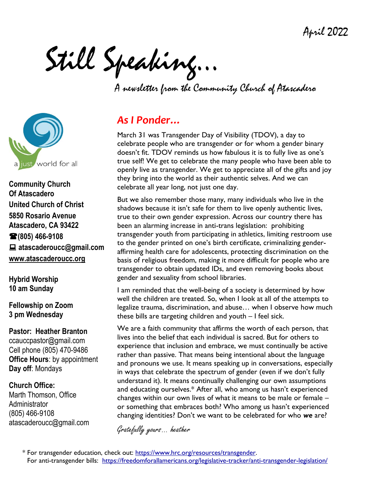April 2022

Still Speaking…

A newsletter from the Community Church of Atascadero



**Community Church Of Atascadero United Church of Christ 5850 Rosario Avenue Atascadero, CA 93422 (805) 466-9108 atascaderoucc@gmail.com [www.atascaderoucc.org](http://www.atascaderoucc.org/)**

**Hybrid Worship 10 am Sunday**

**Fellowship on Zoom 3 pm Wednesday**

**Pastor: Heather Branton** ccauccpastor@gmail.com Cell phone [\(805\)](tel:%28734.904.3113) 470-9486 **Office Hours**: by appointment **Day off**: Mondays

**Church Office:** Marth Thomson, Office Administrator (805) 466-9108 atascaderoucc@gmail.com

# *As I Ponder…*

March 31 was Transgender Day of Visibility (TDOV), a day to celebrate people who are transgender or for whom a gender binary doesn't fit. TDOV reminds us how fabulous it is to fully live as one's true self! We get to celebrate the many people who have been able to openly live as transgender. We get to appreciate all of the gifts and joy they bring into the world as their authentic selves. And we can celebrate all year long, not just one day.

But we also remember those many, many individuals who live in the shadows because it isn't safe for them to live openly authentic lives, true to their own gender expression. Across our country there has been an alarming increase in anti-trans legislation: prohibiting transgender youth from participating in athletics, limiting restroom use to the gender printed on one's birth certificate, criminalizing genderaffirming health care for adolescents, protecting discrimination on the basis of religious freedom, making it more difficult for people who are transgender to obtain updated IDs, and even removing books about gender and sexuality from school libraries.

I am reminded that the well-being of a society is determined by how well the children are treated. So, when I look at all of the attempts to legalize trauma, discrimination, and abuse… when I observe how much these bills are targeting children and youth – I feel sick.

We are a faith community that affirms the worth of each person, that lives into the belief that each individual is sacred. But for others to experience that inclusion and embrace, we must continually be active rather than passive. That means being intentional about the language and pronouns we use. It means speaking up in conversations, especially in ways that celebrate the spectrum of gender (even if we don't fully understand it). It means continually challenging our own assumptions and educating ourselves.\* After all, who among us hasn't experienced changes within our own lives of what it means to be male or female – or something that embraces both? Who among us hasn't experienced changing identities? Don't we want to be celebrated for who *we* are?

Gratefully yours… heather

<sup>\*</sup> For transgender education, check out: [https://www.hrc.org/resources/transgender.](https://www.hrc.org/resources/transgender) For anti-transgender bills: <https://freedomforallamericans.org/legislative-tracker/anti-transgender-legislation/>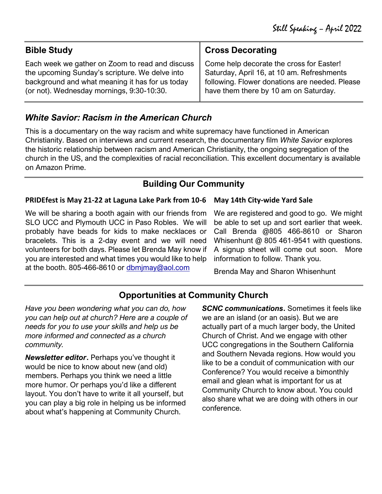| <b>Bible Study</b>                              | <b>Cross Decorating</b>                        |
|-------------------------------------------------|------------------------------------------------|
| Each week we gather on Zoom to read and discuss | Come help decorate the cross for Easter!       |
| the upcoming Sunday's scripture. We delve into  | Saturday, April 16, at 10 am. Refreshments     |
| background and what meaning it has for us today | following. Flower donations are needed. Please |
| (or not). Wednesday mornings, 9:30-10:30.       | have them there by 10 am on Saturday.          |

## *White Savior: Racism in the American Church*

This is a documentary on the way racism and white supremacy have functioned in American Christianity. Based on interviews and current research, the documentary film *White Savior* explores the historic relationship between racism and American Christianity, the ongoing segregation of the church in the US, and the complexities of racial reconciliation. This excellent documentary is available on Amazon Prime.

## **Building Our Community**

#### **PRIDEfest is May 21-22 at Laguna Lake Park from 10-6 May 14th City-wide Yard Sale**

We will be sharing a booth again with our friends from SLO UCC and Plymouth UCC in Paso Robles. We will probably have beads for kids to make necklaces or bracelets. This is a 2-day event and we will need volunteers for both days. Please let Brenda May know if you are interested and what times you would like to help at the booth. 805-466-8610 or [dbmjmay@aol.com](mailto:dbmjmay@aol.com)

We are registered and good to go. We might be able to set up and sort earlier that week. Call Brenda @805 466-8610 or Sharon Whisenhunt @ 805 461-9541 with questions. A signup sheet will come out soon. More information to follow. Thank you.

Brenda May and Sharon Whisenhunt

# **Opportunities at Community Church**

*Have you been wondering what you can do, how you can help out at church? Here are a couple of needs for you to use your skills and help us be more informed and connected as a church community.*

*Newsletter editor***.** Perhaps you've thought it would be nice to know about new (and old) members. Perhaps you think we need a little more humor. Or perhaps you'd like a different layout. You don't have to write it all yourself, but you can play a big role in helping us be informed about what's happening at Community Church.

*SCNC communications***.** Sometimes it feels like we are an island (or an oasis). But we are actually part of a much larger body, the United Church of Christ. And we engage with other UCC congregations in the Southern California and Southern Nevada regions. How would you like to be a conduit of communication with our Conference? You would receive a bimonthly email and glean what is important for us at Community Church to know about. You could also share what we are doing with others in our conference.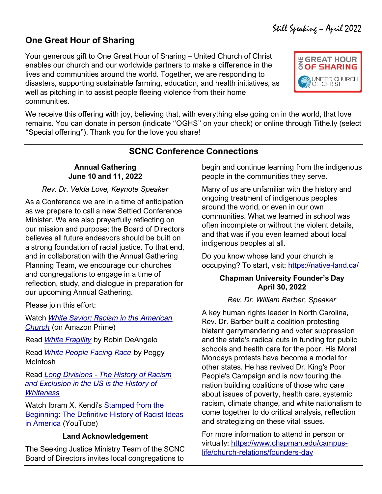## **One Great Hour of Sharing**

Your generous gift to One Great Hour of Sharing – United Church of Christ enables our church and our worldwide partners to make a difference in the lives and communities around the world. Together, we are responding to disasters, supporting sustainable farming, education, and health initiatives, as well as pitching in to assist people fleeing violence from their home communities.



We receive this offering with joy, believing that, with everything else going on in the world, that love remains. You can donate in person (indicate "OGHS" on your check) or online through Tithe.ly (select "Special offering"). Thank you for the love you share!

## **SCNC Conference Connections**

#### **Annual Gathering June 10 and 11, 2022**

#### *Rev. Dr. Velda Love, Keynote Speaker*

As a Conference we are in a time of anticipation as we prepare to call a new Settled Conference Minister. We are also prayerfully reflecting on our mission and purpose; the Board of Directors believes all future endeavors should be built on a strong foundation of racial justice. To that end, and in collaboration with the Annual Gathering Planning Team, we encourage our churches and congregations to engage in a time of reflection, study, and dialogue in preparation for our upcoming Annual Gathering.

Please join this effort:

Watch *[White Savior: Racism in the American](https://www.amazon.com/White-Savior-Racism-American-Church/dp/B07ZS6B9FB)  [Church](https://www.amazon.com/White-Savior-Racism-American-Church/dp/B07ZS6B9FB)* (on Amazon Prime)

Read *[White Fragility](https://libjournal.uncg.edu/ijcp/article/viewFile/249/116)* by Robin DeAngelo

Read *[White People Facing Race](https://www.whitworth.edu/cms/media/whitworth/documents/administration/diversity-equity--inclusion/peggy-mcintosh-white-people-facing-race.pdf)* by Peggy McIntosh

Read *Long Divisions - [The History of Racism](https://newrepublic.com/article/144972/toni-morrisons-radical-vision-otherness-history-racism-exclusion-whiteness)  [and Exclusion in the US is the History of](https://newrepublic.com/article/144972/toni-morrisons-radical-vision-otherness-history-racism-exclusion-whiteness)  [Whiteness](https://newrepublic.com/article/144972/toni-morrisons-radical-vision-otherness-history-racism-exclusion-whiteness)*

Watch Ibram X. Kendi's [Stamped from the](https://youtu.be/BFsNpswLysU)  **Beginning: The Definitive History of Racist Ideas** [in America](https://youtu.be/BFsNpswLysU) (YouTube)

### **Land Acknowledgement**

The Seeking Justice Ministry Team of the SCNC Board of Directors invites local congregations to begin and continue learning from the indigenous people in the communities they serve.

Many of us are unfamiliar with the history and ongoing treatment of indigenous peoples around the world, or even in our own communities. What we learned in school was often incomplete or without the violent details, and that was if you even learned about local indigenous peoples at all.

Do you know whose land your church is occupying? To start, visit:<https://native-land.ca/>

#### **Chapman University Founder's Day April 30, 2022**

### *Rev. Dr. William Barber, Speaker*

A key human rights leader in North Carolina, Rev. Dr. Barber built a coalition protesting blatant gerrymandering and voter suppression and the state's radical cuts in funding for public schools and health care for the poor. His Moral Mondays protests have become a model for other states. He has revived Dr. King's Poor People's Campaign and is now touring the nation building coalitions of those who care about issues of poverty, health care, systemic racism, climate change, and white nationalism to come together to do critical analysis, reflection and strategizing on these vital issues.

For more information to attend in person or virtually: [https://www.chapman.edu/campus](https://www.chapman.edu/campus-life/church-relations/founders-day)[life/church-relations/founders-day](https://www.chapman.edu/campus-life/church-relations/founders-day)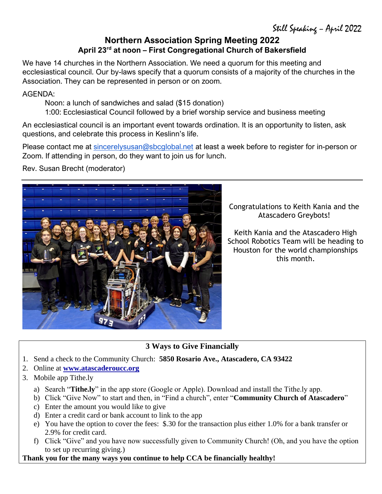## **Northern Association Spring Meeting 2022 April 23rd at noon – First Congregational Church of Bakersfield**

We have 14 churches in the Northern Association. We need a quorum for this meeting and ecclesiastical council. Our by-laws specify that a quorum consists of a majority of the churches in the Association. They can be represented in person or on zoom.

AGENDA:

Noon: a lunch of sandwiches and salad (\$15 donation)

1:00: Ecclesiastical Council followed by a brief worship service and business meeting

An ecclesiastical council is an important event towards ordination. It is an opportunity to listen, ask questions, and celebrate this process in Keslinn's life.

Please contact me at [sincerelysusan@sbcglobal.net](mailto:sincerelysusan@sbcglobal.net) at least a week before to register for in-person or Zoom. If attending in person, do they want to join us for lunch.

Rev. Susan Brecht (moderator)



Congratulations to Keith Kania and the Atascadero Greybots!

Keith Kania and the Atascadero High School Robotics Team will be heading to Houston for the world championships this month.

## **3 Ways to Give Financially**

- 1. Send a check to the Community Church: **5850 Rosario Ave., Atascadero, CA 93422**
- 2. Online at **[www.atascaderoucc.org](http://www.atascaderoucc.org/)**
- 3. Mobile app Tithe.ly
	- a) Search "**Tithe.ly**" in the app store (Google or Apple). Download and install the Tithe.ly app.
	- b) Click "Give Now" to start and then, in "Find a church", enter "**Community Church of Atascadero**"
	- c) Enter the amount you would like to give
	- d) Enter a credit card or bank account to link to the app
	- e) You have the option to cover the fees: \$.30 for the transaction plus either 1.0% for a bank transfer or 2.9% for credit card.
	- f) Click "Give" and you have now successfully given to Community Church! (Oh, and you have the option to set up recurring giving.)

**Thank you for the many ways you continue to help CCA be financially healthy!**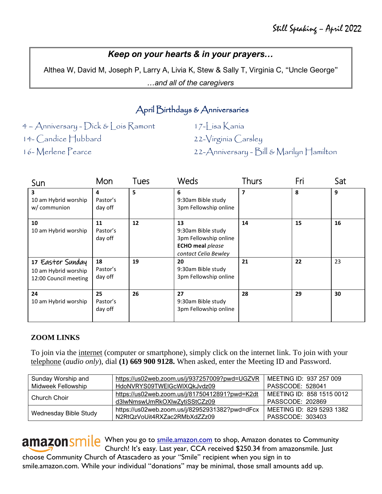## *Keep on your hearts & in your prayers…*

Althea W, David M, Joseph P, Larry A, Livia K, Stew & Sally T, Virginia C, "Uncle George"

*…and all of the caregivers*

## April Birthdays & Anniversaries

4 – Anniversary - Dick & Lois Ramont 14- Candice Hubbard 16- Merlene Pearce

17-Lisa Kania

22-Virginia Carsley

22-Anniversary - Bill & Marilyn Hamilton

| Sun                                                               | Mon                       | Tues | Weds                                                                                                 | <b>Thurs</b> | Fri | Sat |
|-------------------------------------------------------------------|---------------------------|------|------------------------------------------------------------------------------------------------------|--------------|-----|-----|
| $\overline{\mathbf{3}}$<br>10 am Hybrid worship<br>w/ communion   | 4<br>Pastor's<br>day off  | 5    | 6<br>9:30am Bible study<br>3pm Fellowship online                                                     | 7            | 8   | 9   |
| 10<br>10 am Hybrid worship                                        | 11<br>Pastor's<br>day off | 12   | 13<br>9:30am Bible study<br>3pm Fellowship online<br><b>ECHO</b> meal please<br>contact Celia Bewley | 14           | 15  | 16  |
| 17 Easter Sunday<br>10 am Hybrid worship<br>12:00 Council meeting | 18<br>Pastor's<br>day off | 19   | 20<br>9:30am Bible study<br>3pm Fellowship online                                                    | 21           | 22  | 23  |
| 24<br>10 am Hybrid worship                                        | 25<br>Pastor's<br>day off | 26   | 27<br>9:30am Bible study<br>3pm Fellowship online                                                    | 28           | 29  | 30  |

#### **ZOOM LINKS**

To join via the internet (computer or smartphone), simply click on the internet link. To join with your telephone (*audio only*), dial **(1) 669 900 9128.** When asked, enter the Meeting ID and Password.

| Sunday Worship and                                | https://us02web.zoom.us/j/937257009?pwd=UGZVR  | MEETING ID: 937 257 009   |  |  |
|---------------------------------------------------|------------------------------------------------|---------------------------|--|--|
| Midweek Fellowship<br>HdoNVRYS09TWEIGcWIXQkJvdz09 |                                                | <b>PASSCODE: 528041</b>   |  |  |
| Church Choir                                      | https://us02web.zoom.us/j/81750412891?pwd=K2dt | MEETING ID: 858 1515 0012 |  |  |
|                                                   | d3lwNmswUmRkOXlwZytiSStCZz09                   | PASSCODE: 202869          |  |  |
| Wednesday Bible Study                             | https://us02web.zoom.us/j/82952931382?pwd=dFcx | MEETING ID: 829 5293 1382 |  |  |
|                                                   | N2RtQzVoUit4RXZac2RMbXdZZz09                   | PASSCODE: 303403          |  |  |

amazon smile When you go to [smile.amazon.com](file:///C:/Users/hbran/Dropbox/CCA/Newsletter/smile.amazon.com) to shop, Amazon donates to Community Church! It's easy. Last year, CCA received \$250.34 from amazonsmile. Just choose Community Church of Atascadero as your "Smile" recipient when you sign in to smile.amazon.com. While your individual "donations" may be minimal, those small amounts add up.